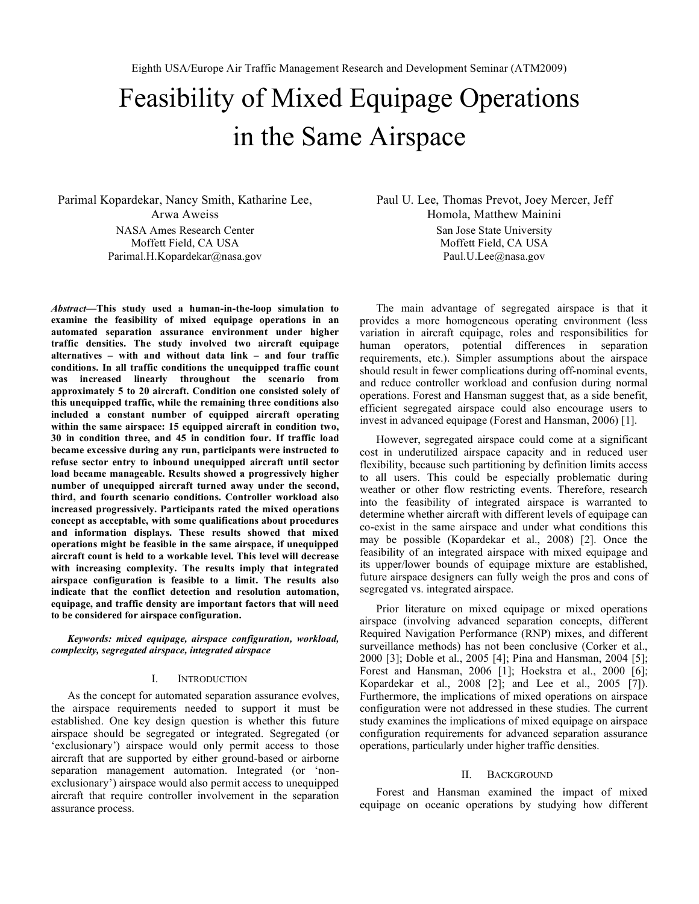# Feasibility of Mixed Equipage Operations in the Same Airspace

Parimal Kopardekar, Nancy Smith, Katharine Lee, Arwa Aweiss NASA Ames Research Center Moffett Field, CA USA Parimal.H.Kopardekar@nasa.gov

*Abstract***—This study used a human-in-the-loop simulation to examine the feasibility of mixed equipage operations in an automated separation assurance environment under higher traffic densities. The study involved two aircraft equipage alternatives – with and without data link – and four traffic conditions. In all traffic conditions the unequipped traffic count was increased linearly throughout the scenario from approximately 5 to 20 aircraft. Condition one consisted solely of this unequipped traffic, while the remaining three conditions also included a constant number of equipped aircraft operating within the same airspace: 15 equipped aircraft in condition two, 30 in condition three, and 45 in condition four. If traffic load became excessive during any run, participants were instructed to refuse sector entry to inbound unequipped aircraft until sector load became manageable. Results showed a progressively higher number of unequipped aircraft turned away under the second, third, and fourth scenario conditions. Controller workload also increased progressively. Participants rated the mixed operations concept as acceptable, with some qualifications about procedures and information displays. These results showed that mixed operations might be feasible in the same airspace, if unequipped aircraft count is held to a workable level. This level will decrease with increasing complexity. The results imply that integrated airspace configuration is feasible to a limit. The results also indicate that the conflict detection and resolution automation, equipage, and traffic density are important factors that will need to be considered for airspace configuration.**

*Keywords: mixed equipage, airspace configuration, workload, complexity, segregated airspace, integrated airspace*

#### I. INTRODUCTION

As the concept for automated separation assurance evolves, the airspace requirements needed to support it must be established. One key design question is whether this future airspace should be segregated or integrated. Segregated (or 'exclusionary') airspace would only permit access to those aircraft that are supported by either ground-based or airborne separation management automation. Integrated (or 'nonexclusionary') airspace would also permit access to unequipped aircraft that require controller involvement in the separation assurance process.

Paul U. Lee, Thomas Prevot, Joey Mercer, Jeff Homola, Matthew Mainini San Jose State University Moffett Field, CA USA Paul.U.Lee@nasa.gov

The main advantage of segregated airspace is that it provides a more homogeneous operating environment (less variation in aircraft equipage, roles and responsibilities for human operators, potential differences in separation requirements, etc.). Simpler assumptions about the airspace should result in fewer complications during off-nominal events, and reduce controller workload and confusion during normal operations. Forest and Hansman suggest that, as a side benefit, efficient segregated airspace could also encourage users to invest in advanced equipage (Forest and Hansman, 2006) [1].

However, segregated airspace could come at a significant cost in underutilized airspace capacity and in reduced user flexibility, because such partitioning by definition limits access to all users. This could be especially problematic during weather or other flow restricting events. Therefore, research into the feasibility of integrated airspace is warranted to determine whether aircraft with different levels of equipage can co-exist in the same airspace and under what conditions this may be possible (Kopardekar et al., 2008) [2]. Once the feasibility of an integrated airspace with mixed equipage and its upper/lower bounds of equipage mixture are established, future airspace designers can fully weigh the pros and cons of segregated vs. integrated airspace.

Prior literature on mixed equipage or mixed operations airspace (involving advanced separation concepts, different Required Navigation Performance (RNP) mixes, and different surveillance methods) has not been conclusive (Corker et al., 2000 [3]; Doble et al., 2005 [4]; Pina and Hansman, 2004 [5]; Forest and Hansman, 2006 [1]; Hoekstra et al., 2000 [6]; Kopardekar et al., 2008 [2]; and Lee et al., 2005 [7]). Furthermore, the implications of mixed operations on airspace configuration were not addressed in these studies. The current study examines the implications of mixed equipage on airspace configuration requirements for advanced separation assurance operations, particularly under higher traffic densities.

#### II. BACKGROUND

Forest and Hansman examined the impact of mixed equipage on oceanic operations by studying how different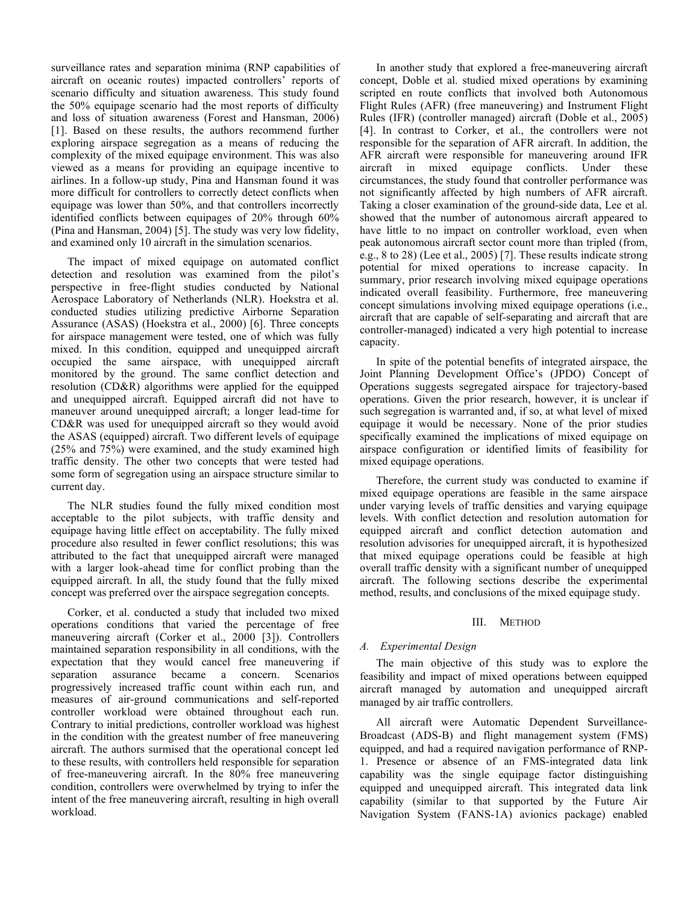surveillance rates and separation minima (RNP capabilities of aircraft on oceanic routes) impacted controllers' reports of scenario difficulty and situation awareness. This study found the 50% equipage scenario had the most reports of difficulty and loss of situation awareness (Forest and Hansman, 2006) [1]. Based on these results, the authors recommend further exploring airspace segregation as a means of reducing the complexity of the mixed equipage environment. This was also viewed as a means for providing an equipage incentive to airlines. In a follow-up study, Pina and Hansman found it was more difficult for controllers to correctly detect conflicts when equipage was lower than 50%, and that controllers incorrectly identified conflicts between equipages of 20% through 60% (Pina and Hansman, 2004) [5]. The study was very low fidelity, and examined only 10 aircraft in the simulation scenarios.

The impact of mixed equipage on automated conflict detection and resolution was examined from the pilot's perspective in free-flight studies conducted by National Aerospace Laboratory of Netherlands (NLR). Hoekstra et al. conducted studies utilizing predictive Airborne Separation Assurance (ASAS) (Hoekstra et al., 2000) [6]. Three concepts for airspace management were tested, one of which was fully mixed. In this condition, equipped and unequipped aircraft occupied the same airspace, with unequipped aircraft monitored by the ground. The same conflict detection and resolution (CD&R) algorithms were applied for the equipped and unequipped aircraft. Equipped aircraft did not have to maneuver around unequipped aircraft; a longer lead-time for CD&R was used for unequipped aircraft so they would avoid the ASAS (equipped) aircraft. Two different levels of equipage (25% and 75%) were examined, and the study examined high traffic density. The other two concepts that were tested had some form of segregation using an airspace structure similar to current day.

The NLR studies found the fully mixed condition most acceptable to the pilot subjects, with traffic density and equipage having little effect on acceptability. The fully mixed procedure also resulted in fewer conflict resolutions; this was attributed to the fact that unequipped aircraft were managed with a larger look-ahead time for conflict probing than the equipped aircraft. In all, the study found that the fully mixed concept was preferred over the airspace segregation concepts.

Corker, et al. conducted a study that included two mixed operations conditions that varied the percentage of free maneuvering aircraft (Corker et al., 2000 [3]). Controllers maintained separation responsibility in all conditions, with the expectation that they would cancel free maneuvering if separation assurance became a concern. Scenarios progressively increased traffic count within each run, and measures of air-ground communications and self-reported controller workload were obtained throughout each run. Contrary to initial predictions, controller workload was highest in the condition with the greatest number of free maneuvering aircraft. The authors surmised that the operational concept led to these results, with controllers held responsible for separation of free-maneuvering aircraft. In the 80% free maneuvering condition, controllers were overwhelmed by trying to infer the intent of the free maneuvering aircraft, resulting in high overall workload.

In another study that explored a free-maneuvering aircraft concept, Doble et al. studied mixed operations by examining scripted en route conflicts that involved both Autonomous Flight Rules (AFR) (free maneuvering) and Instrument Flight Rules (IFR) (controller managed) aircraft (Doble et al., 2005) [4]. In contrast to Corker, et al., the controllers were not responsible for the separation of AFR aircraft. In addition, the AFR aircraft were responsible for maneuvering around IFR aircraft in mixed equipage conflicts. Under these circumstances, the study found that controller performance was not significantly affected by high numbers of AFR aircraft. Taking a closer examination of the ground-side data, Lee et al. showed that the number of autonomous aircraft appeared to have little to no impact on controller workload, even when peak autonomous aircraft sector count more than tripled (from, e.g., 8 to 28) (Lee et al., 2005) [7]. These results indicate strong potential for mixed operations to increase capacity. In summary, prior research involving mixed equipage operations indicated overall feasibility. Furthermore, free maneuvering concept simulations involving mixed equipage operations (i.e., aircraft that are capable of self-separating and aircraft that are controller-managed) indicated a very high potential to increase capacity.

In spite of the potential benefits of integrated airspace, the Joint Planning Development Office's (JPDO) Concept of Operations suggests segregated airspace for trajectory-based operations. Given the prior research, however, it is unclear if such segregation is warranted and, if so, at what level of mixed equipage it would be necessary. None of the prior studies specifically examined the implications of mixed equipage on airspace configuration or identified limits of feasibility for mixed equipage operations.

Therefore, the current study was conducted to examine if mixed equipage operations are feasible in the same airspace under varying levels of traffic densities and varying equipage levels. With conflict detection and resolution automation for equipped aircraft and conflict detection automation and resolution advisories for unequipped aircraft, it is hypothesized that mixed equipage operations could be feasible at high overall traffic density with a significant number of unequipped aircraft. The following sections describe the experimental method, results, and conclusions of the mixed equipage study.

# III. METHOD

# *A. Experimental Design*

The main objective of this study was to explore the feasibility and impact of mixed operations between equipped aircraft managed by automation and unequipped aircraft managed by air traffic controllers.

All aircraft were Automatic Dependent Surveillance-Broadcast (ADS-B) and flight management system (FMS) equipped, and had a required navigation performance of RNP-1. Presence or absence of an FMS-integrated data link capability was the single equipage factor distinguishing equipped and unequipped aircraft. This integrated data link capability (similar to that supported by the Future Air Navigation System (FANS-1A) avionics package) enabled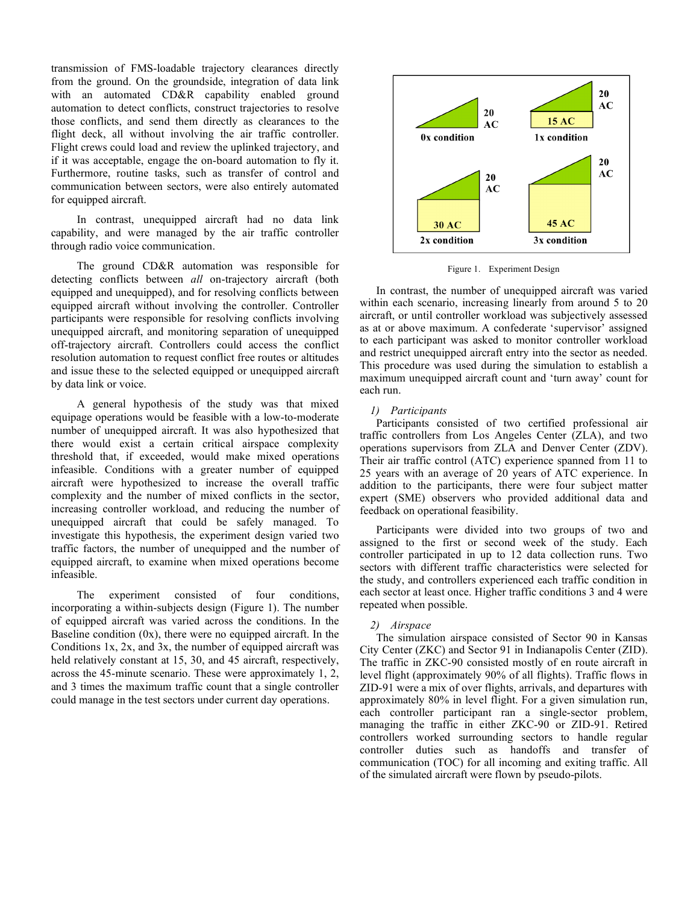transmission of FMS-loadable trajectory clearances directly from the ground. On the groundside, integration of data link with an automated CD&R capability enabled ground automation to detect conflicts, construct trajectories to resolve those conflicts, and send them directly as clearances to the flight deck, all without involving the air traffic controller. Flight crews could load and review the uplinked trajectory, and if it was acceptable, engage the on-board automation to fly it. Furthermore, routine tasks, such as transfer of control and communication between sectors, were also entirely automated for equipped aircraft.

In contrast, unequipped aircraft had no data link capability, and were managed by the air traffic controller through radio voice communication.

The ground CD&R automation was responsible for detecting conflicts between *all* on-trajectory aircraft (both equipped and unequipped), and for resolving conflicts between equipped aircraft without involving the controller. Controller participants were responsible for resolving conflicts involving unequipped aircraft, and monitoring separation of unequipped off-trajectory aircraft. Controllers could access the conflict resolution automation to request conflict free routes or altitudes and issue these to the selected equipped or unequipped aircraft by data link or voice.

A general hypothesis of the study was that mixed equipage operations would be feasible with a low-to-moderate number of unequipped aircraft. It was also hypothesized that there would exist a certain critical airspace complexity threshold that, if exceeded, would make mixed operations infeasible. Conditions with a greater number of equipped aircraft were hypothesized to increase the overall traffic complexity and the number of mixed conflicts in the sector, increasing controller workload, and reducing the number of unequipped aircraft that could be safely managed. To investigate this hypothesis, the experiment design varied two traffic factors, the number of unequipped and the number of equipped aircraft, to examine when mixed operations become infeasible.

The experiment consisted of four conditions, incorporating a within-subjects design (Figure 1). The number of equipped aircraft was varied across the conditions. In the Baseline condition (0x), there were no equipped aircraft. In the Conditions  $1x$ ,  $2x$ , and  $3x$ , the number of equipped aircraft was held relatively constant at 15, 30, and 45 aircraft, respectively, across the 45-minute scenario. These were approximately 1, 2, and 3 times the maximum traffic count that a single controller could manage in the test sectors under current day operations.



Figure 1. Experiment Design

In contrast, the number of unequipped aircraft was varied within each scenario, increasing linearly from around 5 to 20 aircraft, or until controller workload was subjectively assessed as at or above maximum. A confederate 'supervisor' assigned to each participant was asked to monitor controller workload and restrict unequipped aircraft entry into the sector as needed. This procedure was used during the simulation to establish a maximum unequipped aircraft count and 'turn away' count for each run.

## *1) Participants*

Participants consisted of two certified professional air traffic controllers from Los Angeles Center (ZLA), and two operations supervisors from ZLA and Denver Center (ZDV). Their air traffic control (ATC) experience spanned from 11 to 25 years with an average of 20 years of ATC experience. In addition to the participants, there were four subject matter expert (SME) observers who provided additional data and feedback on operational feasibility.

Participants were divided into two groups of two and assigned to the first or second week of the study. Each controller participated in up to 12 data collection runs. Two sectors with different traffic characteristics were selected for the study, and controllers experienced each traffic condition in each sector at least once. Higher traffic conditions 3 and 4 were repeated when possible.

#### *2) Airspace*

The simulation airspace consisted of Sector 90 in Kansas City Center (ZKC) and Sector 91 in Indianapolis Center (ZID). The traffic in ZKC-90 consisted mostly of en route aircraft in level flight (approximately 90% of all flights). Traffic flows in ZID-91 were a mix of over flights, arrivals, and departures with approximately 80% in level flight. For a given simulation run, each controller participant ran a single-sector problem, managing the traffic in either ZKC-90 or ZID-91. Retired controllers worked surrounding sectors to handle regular controller duties such as handoffs and transfer of communication (TOC) for all incoming and exiting traffic. All of the simulated aircraft were flown by pseudo-pilots.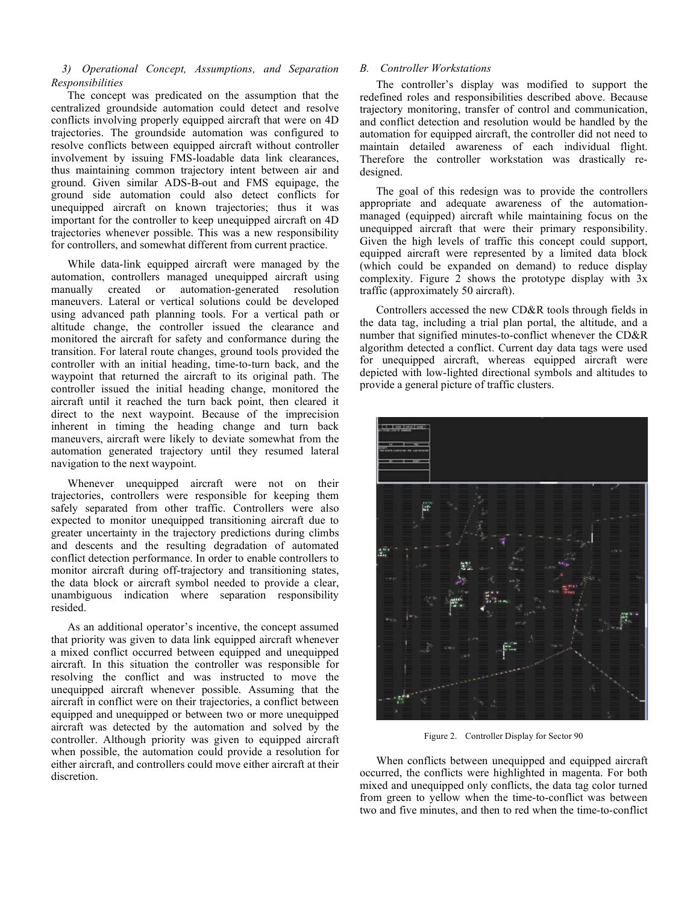# *3) Operational Concept, Assumptions, and Separation Responsibilities*

The concept was predicated on the assumption that the centralized groundside automation could detect and resolve conflicts involving properly equipped aircraft that were on 4D trajectories. The groundside automation was configured to resolve conflicts between equipped aircraft without controller involvement by issuing FMS-loadable data link clearances, thus maintaining common trajectory intent between air and ground. Given similar ADS-B-out and FMS equipage, the ground side automation could also detect conflicts for unequipped aircraft on known trajectories; thus it was important for the controller to keep unequipped aircraft on 4D trajectories whenever possible. This was a new responsibility for controllers, and somewhat different from current practice.

While data-link equipped aircraft were managed by the automation, controllers managed unequipped aircraft using manually created or automation-generated resolution maneuvers. Lateral or vertical solutions could be developed using advanced path planning tools. For a vertical path or altitude change, the controller issued the clearance and monitored the aircraft for safety and conformance during the transition. For lateral route changes, ground tools provided the controller with an initial heading, time-to-turn back, and the waypoint that returned the aircraft to its original path. The controller issued the initial heading change, monitored the aircraft until it reached the turn back point, then cleared it direct to the next waypoint. Because of the imprecision inherent in timing the heading change and turn back maneuvers, aircraft were likely to deviate somewhat from the automation generated trajectory until they resumed lateral navigation to the next waypoint.

Whenever unequipped aircraft were not on their trajectories, controllers were responsible for keeping them safely separated from other traffic. Controllers were also expected to monitor unequipped transitioning aircraft due to greater uncertainty in the trajectory predictions during climbs and descents and the resulting degradation of automated conflict detection performance. In order to enable controllers to monitor aircraft during off-trajectory and transitioning states, the data block or aircraft symbol needed to provide a clear, unambiguous indication where separation responsibility resided.

As an additional operator's incentive, the concept assumed that priority was given to data link equipped aircraft whenever a mixed conflict occurred between equipped and unequipped aircraft. In this situation the controller was responsible for resolving the conflict and was instructed to move the unequipped aircraft whenever possible. Assuming that the aircraft in conflict were on their trajectories, a conflict between equipped and unequipped or between two or more unequipped aircraft was detected by the automation and solved by the controller. Although priority was given to equipped aircraft when possible, the automation could provide a resolution for either aircraft, and controllers could move either aircraft at their discretion.

# *B. Controller Workstations*

The controller's display was modified to support the redefined roles and responsibilities described above. Because trajectory monitoring, transfer of control and communication, and conflict detection and resolution would be handled by the automation for equipped aircraft, the controller did not need to maintain detailed awareness of each individual flight. Therefore the controller workstation was drastically redesigned.

The goal of this redesign was to provide the controllers appropriate and adequate awareness of the automationmanaged (equipped) aircraft while maintaining focus on the unequipped aircraft that were their primary responsibility. Given the high levels of traffic this concept could support, equipped aircraft were represented by a limited data block (which could be expanded on demand) to reduce display complexity. Figure 2 shows the prototype display with 3x traffic (approximately 50 aircraft).

Controllers accessed the new CD&R tools through fields in the data tag, including a trial plan portal, the altitude, and a number that signified minutes-to-conflict whenever the CD&R algorithm detected a conflict. Current day data tags were used for unequipped aircraft, whereas equipped aircraft were depicted with low-lighted directional symbols and altitudes to provide a general picture of traffic clusters.



Figure 2. Controller Display for Sector 90

When conflicts between unequipped and equipped aircraft occurred, the conflicts were highlighted in magenta. For both mixed and unequipped only conflicts, the data tag color turned from green to yellow when the time-to-conflict was between two and five minutes, and then to red when the time-to-conflict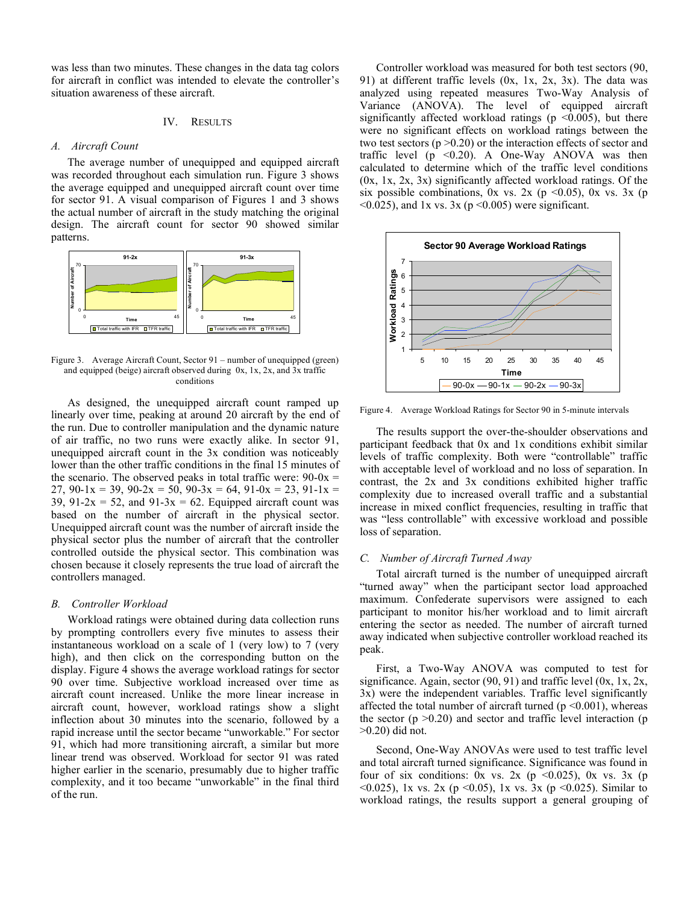was less than two minutes. These changes in the data tag colors for aircraft in conflict was intended to elevate the controller's situation awareness of these aircraft.

## IV. RESULTS

## *A. Aircraft Count*

The average number of unequipped and equipped aircraft was recorded throughout each simulation run. Figure 3 shows the average equipped and unequipped aircraft count over time for sector 91. A visual comparison of Figures 1 and 3 shows the actual number of aircraft in the study matching the original design. The aircraft count for sector 90 showed similar patterns.



Figure 3. Average Aircraft Count, Sector 91 – number of unequipped (green) and equipped (beige) aircraft observed during 0x, 1x, 2x, and 3x traffic conditions

As designed, the unequipped aircraft count ramped up linearly over time, peaking at around 20 aircraft by the end of the run. Due to controller manipulation and the dynamic nature of air traffic, no two runs were exactly alike. In sector 91, unequipped aircraft count in the 3x condition was noticeably lower than the other traffic conditions in the final 15 minutes of the scenario. The observed peaks in total traffic were:  $90-0x =$ 27, 90-1x = 39, 90-2x = 50, 90-3x = 64, 91-0x = 23, 91-1x = 39, 91-2x = 52, and 91-3x = 62. Equipped aircraft count was based on the number of aircraft in the physical sector. Unequipped aircraft count was the number of aircraft inside the physical sector plus the number of aircraft that the controller controlled outside the physical sector. This combination was chosen because it closely represents the true load of aircraft the controllers managed.

#### *B. Controller Workload*

Workload ratings were obtained during data collection runs by prompting controllers every five minutes to assess their instantaneous workload on a scale of 1 (very low) to 7 (very high), and then click on the corresponding button on the display. Figure 4 shows the average workload ratings for sector 90 over time. Subjective workload increased over time as aircraft count increased. Unlike the more linear increase in aircraft count, however, workload ratings show a slight inflection about 30 minutes into the scenario, followed by a rapid increase until the sector became "unworkable." For sector 91, which had more transitioning aircraft, a similar but more linear trend was observed. Workload for sector 91 was rated higher earlier in the scenario, presumably due to higher traffic complexity, and it too became "unworkable" in the final third of the run.

Controller workload was measured for both test sectors (90, 91) at different traffic levels (0x, 1x, 2x, 3x). The data was analyzed using repeated measures Two-Way Analysis of Variance (ANOVA). The level of equipped aircraft significantly affected workload ratings ( $p \le 0.005$ ), but there were no significant effects on workload ratings between the two test sectors ( $p > 0.20$ ) or the interaction effects of sector and traffic level ( $p \le 0.20$ ). A One-Way ANOVA was then calculated to determine which of the traffic level conditions  $(0x, 1x, 2x, 3x)$  significantly affected workload ratings. Of the six possible combinations, 0x vs. 2x (p  $\leq$ 0.05), 0x vs. 3x (p  $\leq$ 0.025), and 1x vs. 3x (p $\leq$ 0.005) were significant.



Figure 4. Average Workload Ratings for Sector 90 in 5-minute intervals

The results support the over-the-shoulder observations and participant feedback that 0x and 1x conditions exhibit similar levels of traffic complexity. Both were "controllable" traffic with acceptable level of workload and no loss of separation. In contrast, the 2x and 3x conditions exhibited higher traffic complexity due to increased overall traffic and a substantial increase in mixed conflict frequencies, resulting in traffic that was "less controllable" with excessive workload and possible loss of separation.

## *C. Number of Aircraft Turned Away*

Total aircraft turned is the number of unequipped aircraft "turned away" when the participant sector load approached maximum. Confederate supervisors were assigned to each participant to monitor his/her workload and to limit aircraft entering the sector as needed. The number of aircraft turned away indicated when subjective controller workload reached its peak.

First, a Two-Way ANOVA was computed to test for significance. Again, sector  $(90, 91)$  and traffic level  $(0x, 1x, 2x,$ 3x) were the independent variables. Traffic level significantly affected the total number of aircraft turned ( $p \le 0.001$ ), whereas the sector  $(p > 0.20)$  and sector and traffic level interaction  $(p$ >0.20) did not.

Second, One-Way ANOVAs were used to test traffic level and total aircraft turned significance. Significance was found in four of six conditions: 0x vs. 2x ( $p \le 0.025$ ), 0x vs. 3x ( $p$ <0.025), 1x vs. 2x (p <0.05), 1x vs. 3x (p <0.025). Similar to workload ratings, the results support a general grouping of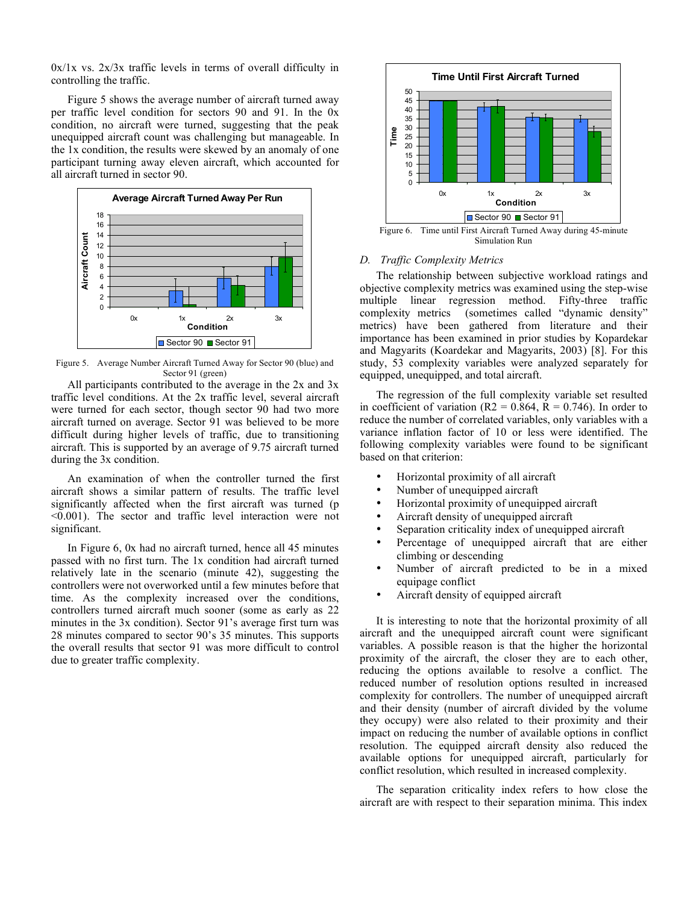$0x/1x$  vs.  $2x/3x$  traffic levels in terms of overall difficulty in controlling the traffic.

Figure 5 shows the average number of aircraft turned away per traffic level condition for sectors 90 and 91. In the 0x condition, no aircraft were turned, suggesting that the peak unequipped aircraft count was challenging but manageable. In the 1x condition, the results were skewed by an anomaly of one participant turning away eleven aircraft, which accounted for all aircraft turned in sector 90.



Figure 5. Average Number Aircraft Turned Away for Sector 90 (blue) and Sector 91 (green)

All participants contributed to the average in the 2x and 3x traffic level conditions. At the 2x traffic level, several aircraft were turned for each sector, though sector 90 had two more aircraft turned on average. Sector 91 was believed to be more difficult during higher levels of traffic, due to transitioning aircraft. This is supported by an average of 9.75 aircraft turned during the 3x condition.

An examination of when the controller turned the first aircraft shows a similar pattern of results. The traffic level significantly affected when the first aircraft was turned (p <0.001). The sector and traffic level interaction were not significant.

In Figure 6, 0x had no aircraft turned, hence all 45 minutes passed with no first turn. The 1x condition had aircraft turned relatively late in the scenario (minute 42), suggesting the controllers were not overworked until a few minutes before that time. As the complexity increased over the conditions, controllers turned aircraft much sooner (some as early as 22 minutes in the 3x condition). Sector 91's average first turn was 28 minutes compared to sector 90's 35 minutes. This supports the overall results that sector 91 was more difficult to control due to greater traffic complexity.



Figure 6. Time until First Aircraft Turned Away during 45-minute Simulation Run

# *D. Traffic Complexity Metrics*

The relationship between subjective workload ratings and objective complexity metrics was examined using the step-wise multiple linear regression method. Fifty-three traffic complexity metrics (sometimes called "dynamic density" metrics) have been gathered from literature and their importance has been examined in prior studies by Kopardekar and Magyarits (Koardekar and Magyarits, 2003) [8]. For this study, 53 complexity variables were analyzed separately for equipped, unequipped, and total aircraft.

The regression of the full complexity variable set resulted in coefficient of variation ( $R2 = 0.864$ ,  $R = 0.746$ ). In order to reduce the number of correlated variables, only variables with a variance inflation factor of 10 or less were identified. The following complexity variables were found to be significant based on that criterion:

- Horizontal proximity of all aircraft
- Number of unequipped aircraft
- Horizontal proximity of unequipped aircraft
- Aircraft density of unequipped aircraft
- Separation criticality index of unequipped aircraft
- Percentage of unequipped aircraft that are either climbing or descending
- Number of aircraft predicted to be in a mixed equipage conflict
- Aircraft density of equipped aircraft

It is interesting to note that the horizontal proximity of all aircraft and the unequipped aircraft count were significant variables. A possible reason is that the higher the horizontal proximity of the aircraft, the closer they are to each other, reducing the options available to resolve a conflict. The reduced number of resolution options resulted in increased complexity for controllers. The number of unequipped aircraft and their density (number of aircraft divided by the volume they occupy) were also related to their proximity and their impact on reducing the number of available options in conflict resolution. The equipped aircraft density also reduced the available options for unequipped aircraft, particularly for conflict resolution, which resulted in increased complexity.

The separation criticality index refers to how close the aircraft are with respect to their separation minima. This index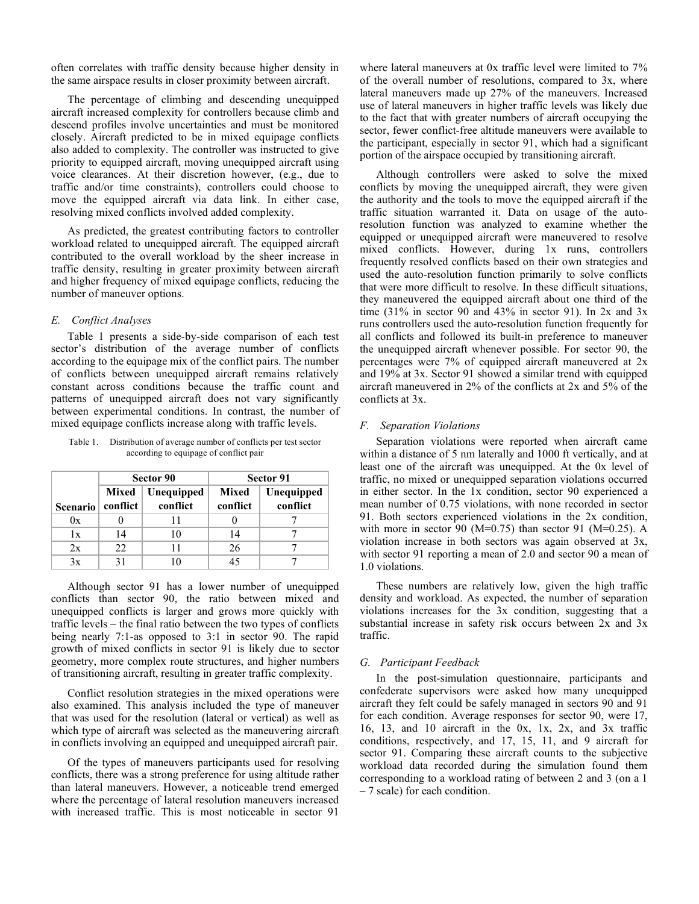often correlates with traffic density because higher density in the same airspace results in closer proximity between aircraft.

The percentage of climbing and descending unequipped aircraft increased complexity for controllers because climb and descend profiles involve uncertainties and must be monitored closely. Aircraft predicted to be in mixed equipage conflicts also added to complexity. The controller was instructed to give priority to equipped aircraft, moving unequipped aircraft using voice clearances. At their discretion however, (e.g., due to traffic and/or time constraints), controllers could choose to move the equipped aircraft via data link. In either case, resolving mixed conflicts involved added complexity.

As predicted, the greatest contributing factors to controller workload related to unequipped aircraft. The equipped aircraft contributed to the overall workload by the sheer increase in traffic density, resulting in greater proximity between aircraft and higher frequency of mixed equipage conflicts, reducing the number of maneuver options.

# *E. Conflict Analyses*

Table 1 presents a side-by-side comparison of each test sector's distribution of the average number of conflicts according to the equipage mix of the conflict pairs. The number of conflicts between unequipped aircraft remains relatively constant across conditions because the traffic count and patterns of unequipped aircraft does not vary significantly between experimental conditions. In contrast, the number of mixed equipage conflicts increase along with traffic levels.

Table 1. Distribution of average number of conflicts per test sector according to equipage of conflict pair

|          | Sector 90         |                        | Sector 91         |                        |
|----------|-------------------|------------------------|-------------------|------------------------|
| Scenario | Mixed<br>conflict | Unequipped<br>conflict | Mixed<br>conflict | Unequipped<br>conflict |
| 0x       |                   |                        |                   |                        |
| 1x       | 14                | 10                     | 14                |                        |
| 2x       | 22                |                        | 26                |                        |
| 3x       |                   |                        |                   |                        |

Although sector 91 has a lower number of unequipped conflicts than sector 90, the ratio between mixed and unequipped conflicts is larger and grows more quickly with traffic levels – the final ratio between the two types of conflicts being nearly 7:1-as opposed to 3:1 in sector 90. The rapid growth of mixed conflicts in sector 91 is likely due to sector geometry, more complex route structures, and higher numbers of transitioning aircraft, resulting in greater traffic complexity.

Conflict resolution strategies in the mixed operations were also examined. This analysis included the type of maneuver that was used for the resolution (lateral or vertical) as well as which type of aircraft was selected as the maneuvering aircraft in conflicts involving an equipped and unequipped aircraft pair.

Of the types of maneuvers participants used for resolving conflicts, there was a strong preference for using altitude rather than lateral maneuvers. However, a noticeable trend emerged where the percentage of lateral resolution maneuvers increased with increased traffic. This is most noticeable in sector 91

where lateral maneuvers at 0x traffic level were limited to 7% of the overall number of resolutions, compared to 3x, where lateral maneuvers made up 27% of the maneuvers. Increased use of lateral maneuvers in higher traffic levels was likely due to the fact that with greater numbers of aircraft occupying the sector, fewer conflict-free altitude maneuvers were available to the participant, especially in sector 91, which had a significant portion of the airspace occupied by transitioning aircraft.

Although controllers were asked to solve the mixed conflicts by moving the unequipped aircraft, they were given the authority and the tools to move the equipped aircraft if the traffic situation warranted it. Data on usage of the autoresolution function was analyzed to examine whether the equipped or unequipped aircraft were maneuvered to resolve mixed conflicts. However, during 1x runs, controllers frequently resolved conflicts based on their own strategies and used the auto-resolution function primarily to solve conflicts that were more difficult to resolve. In these difficult situations, they maneuvered the equipped aircraft about one third of the time (31% in sector 90 and 43% in sector 91). In  $2x$  and  $3x$ runs controllers used the auto-resolution function frequently for all conflicts and followed its built-in preference to maneuver the unequipped aircraft whenever possible. For sector 90, the percentages were 7% of equipped aircraft maneuvered at 2x and 19% at 3x. Sector 91 showed a similar trend with equipped aircraft maneuvered in 2% of the conflicts at 2x and 5% of the conflicts at 3x.

# *F. Separation Violations*

Separation violations were reported when aircraft came within a distance of 5 nm laterally and 1000 ft vertically, and at least one of the aircraft was unequipped. At the 0x level of traffic, no mixed or unequipped separation violations occurred in either sector. In the 1x condition, sector 90 experienced a mean number of 0.75 violations, with none recorded in sector 91. Both sectors experienced violations in the 2x condition, with more in sector 90 ( $M=0.75$ ) than sector 91 ( $M=0.25$ ). A violation increase in both sectors was again observed at 3x, with sector 91 reporting a mean of 2.0 and sector 90 a mean of 1.0 violations.

These numbers are relatively low, given the high traffic density and workload. As expected, the number of separation violations increases for the 3x condition, suggesting that a substantial increase in safety risk occurs between 2x and 3x traffic.

#### *G. Participant Feedback*

In the post-simulation questionnaire, participants and confederate supervisors were asked how many unequipped aircraft they felt could be safely managed in sectors 90 and 91 for each condition. Average responses for sector 90, were 17, 16, 13, and 10 aircraft in the 0x, 1x, 2x, and 3x traffic conditions, respectively, and 17, 15, 11, and 9 aircraft for sector 91. Comparing these aircraft counts to the subjective workload data recorded during the simulation found them corresponding to a workload rating of between 2 and 3 (on a 1 – 7 scale) for each condition.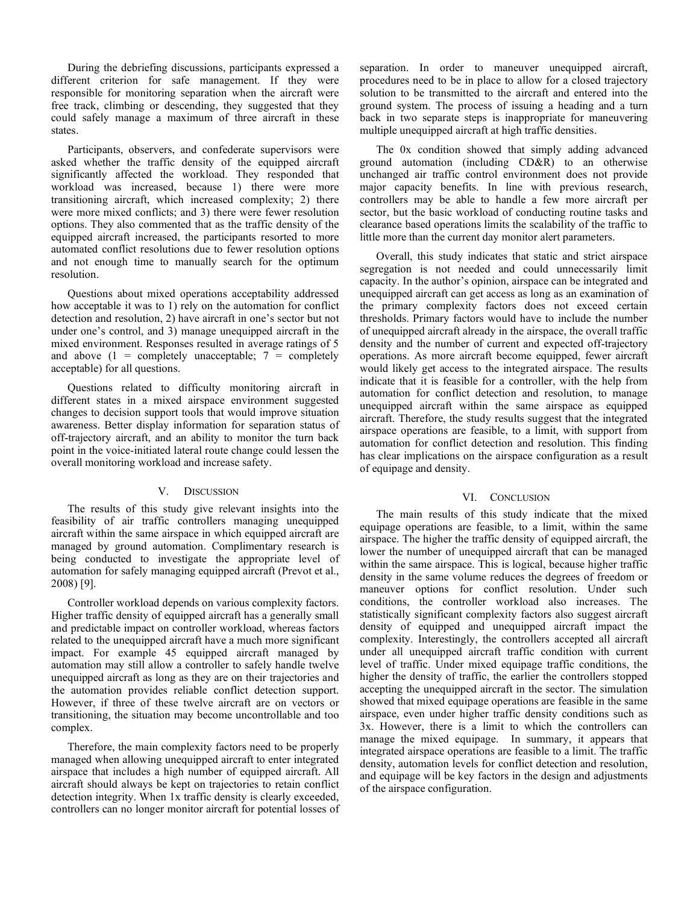During the debriefing discussions, participants expressed a different criterion for safe management. If they were responsible for monitoring separation when the aircraft were free track, climbing or descending, they suggested that they could safely manage a maximum of three aircraft in these states.

Participants, observers, and confederate supervisors were asked whether the traffic density of the equipped aircraft significantly affected the workload. They responded that workload was increased, because 1) there were more transitioning aircraft, which increased complexity; 2) there were more mixed conflicts; and 3) there were fewer resolution options. They also commented that as the traffic density of the equipped aircraft increased, the participants resorted to more automated conflict resolutions due to fewer resolution options and not enough time to manually search for the optimum resolution.

Questions about mixed operations acceptability addressed how acceptable it was to 1) rely on the automation for conflict detection and resolution, 2) have aircraft in one's sector but not under one's control, and 3) manage unequipped aircraft in the mixed environment. Responses resulted in average ratings of 5 and above  $(1 = \text{completely unacceptable}; 7 = \text{completely}$ acceptable) for all questions.

Questions related to difficulty monitoring aircraft in different states in a mixed airspace environment suggested changes to decision support tools that would improve situation awareness. Better display information for separation status of off-trajectory aircraft, and an ability to monitor the turn back point in the voice-initiated lateral route change could lessen the overall monitoring workload and increase safety.

## V. DISCUSSION

The results of this study give relevant insights into the feasibility of air traffic controllers managing unequipped aircraft within the same airspace in which equipped aircraft are managed by ground automation. Complimentary research is being conducted to investigate the appropriate level of automation for safely managing equipped aircraft (Prevot et al., 2008) [9].

Controller workload depends on various complexity factors. Higher traffic density of equipped aircraft has a generally small and predictable impact on controller workload, whereas factors related to the unequipped aircraft have a much more significant impact. For example 45 equipped aircraft managed by automation may still allow a controller to safely handle twelve unequipped aircraft as long as they are on their trajectories and the automation provides reliable conflict detection support. However, if three of these twelve aircraft are on vectors or transitioning, the situation may become uncontrollable and too complex.

Therefore, the main complexity factors need to be properly managed when allowing unequipped aircraft to enter integrated airspace that includes a high number of equipped aircraft. All aircraft should always be kept on trajectories to retain conflict detection integrity. When 1x traffic density is clearly exceeded, controllers can no longer monitor aircraft for potential losses of separation. In order to maneuver unequipped aircraft, procedures need to be in place to allow for a closed trajectory solution to be transmitted to the aircraft and entered into the ground system. The process of issuing a heading and a turn back in two separate steps is inappropriate for maneuvering multiple unequipped aircraft at high traffic densities.

The 0x condition showed that simply adding advanced ground automation (including CD&R) to an otherwise unchanged air traffic control environment does not provide major capacity benefits. In line with previous research, controllers may be able to handle a few more aircraft per sector, but the basic workload of conducting routine tasks and clearance based operations limits the scalability of the traffic to little more than the current day monitor alert parameters.

Overall, this study indicates that static and strict airspace segregation is not needed and could unnecessarily limit capacity. In the author's opinion, airspace can be integrated and unequipped aircraft can get access as long as an examination of the primary complexity factors does not exceed certain thresholds. Primary factors would have to include the number of unequipped aircraft already in the airspace, the overall traffic density and the number of current and expected off-trajectory operations. As more aircraft become equipped, fewer aircraft would likely get access to the integrated airspace. The results indicate that it is feasible for a controller, with the help from automation for conflict detection and resolution, to manage unequipped aircraft within the same airspace as equipped aircraft. Therefore, the study results suggest that the integrated airspace operations are feasible, to a limit, with support from automation for conflict detection and resolution. This finding has clear implications on the airspace configuration as a result of equipage and density.

#### VI. CONCLUSION

The main results of this study indicate that the mixed equipage operations are feasible, to a limit, within the same airspace. The higher the traffic density of equipped aircraft, the lower the number of unequipped aircraft that can be managed within the same airspace. This is logical, because higher traffic density in the same volume reduces the degrees of freedom or maneuver options for conflict resolution. Under such conditions, the controller workload also increases. The statistically significant complexity factors also suggest aircraft density of equipped and unequipped aircraft impact the complexity. Interestingly, the controllers accepted all aircraft under all unequipped aircraft traffic condition with current level of traffic. Under mixed equipage traffic conditions, the higher the density of traffic, the earlier the controllers stopped accepting the unequipped aircraft in the sector. The simulation showed that mixed equipage operations are feasible in the same airspace, even under higher traffic density conditions such as 3x. However, there is a limit to which the controllers can manage the mixed equipage. In summary, it appears that integrated airspace operations are feasible to a limit. The traffic density, automation levels for conflict detection and resolution, and equipage will be key factors in the design and adjustments of the airspace configuration.